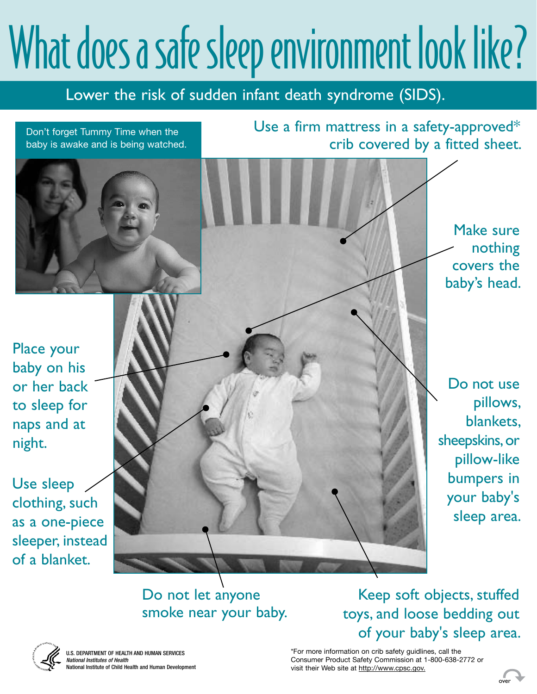# What does a safe sleep environment look like?

Lower the risk of sudden infant death syndrome (SIDS).

Don't forget Tummy Time when the baby is awake and is being watched.

Use a firm mattress in a safety-approved\* crib covered by a fitted sheet.

> Make sure nothing covers the baby's head.

Place your baby on his

 sleeper, instead of a blanket.



pillow-like

over

#### Do not let anyone smoke near your baby.

Keep soft objects, stuffed toys, and loose bedding out of your baby's sleep area.



**U.S. DEPARTMENT OF HEALTH AND HUMAN SERVICES** 

U.S. DEPARTMENT OF HEALTH AND HUMAN SERVICES **1.2. DEPARTMENT OF A SERVICES ARE A**<br>Untional Institutes of Health and Human ServiceS **1999 - Service Service Service Service** Commission at 1-800-638-2 ational Institutes of Health<br>Ational Institute of Child Health and Human Development<br>
Visit their Web site at http://www.cpsc.gov visit their Web site at http://www.cpsc.gov.